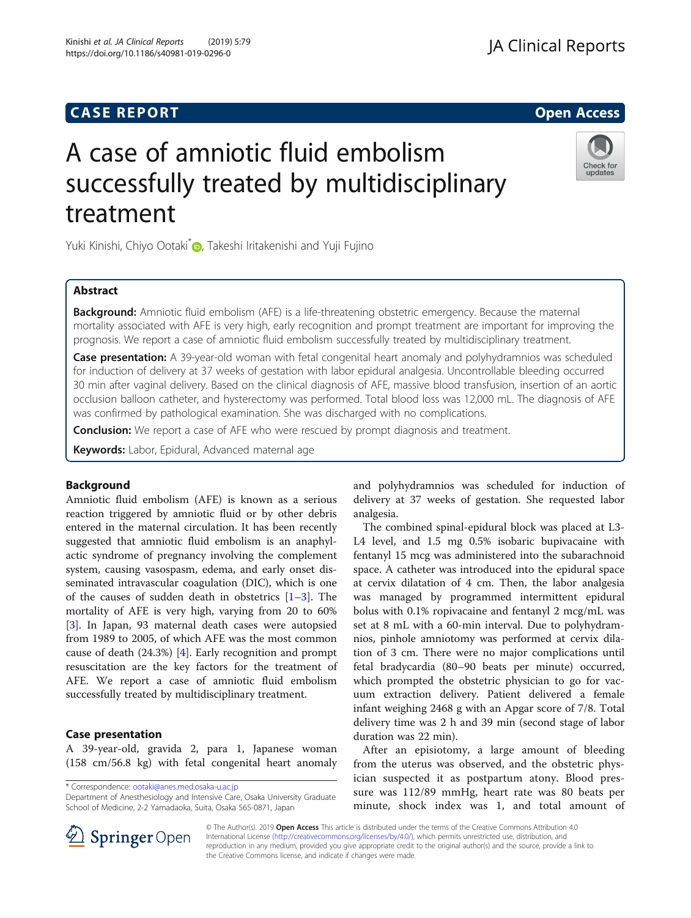## **CASE REPORT And SERVICE SERVICE SERVICE SERVICE SERVICE SERVICE SERVICE SERVICE SERVICE SERVICE SERVICE SERVICE**

## **JA Clinical Reports**

# A case of amniotic fluid embolism successfully treated by multidisciplinary treatment

Yuki Kinishi, Chiyo Ootaki D, Takeshi Iritakenishi and Yuji Fujino

#### Abstract

**Background:** Amniotic fluid embolism (AFE) is a life-threatening obstetric emergency. Because the maternal mortality associated with AFE is very high, early recognition and prompt treatment are important for improving the prognosis. We report a case of amniotic fluid embolism successfully treated by multidisciplinary treatment.

Case presentation: A 39-year-old woman with fetal congenital heart anomaly and polyhydramnios was scheduled for induction of delivery at 37 weeks of gestation with labor epidural analgesia. Uncontrollable bleeding occurred 30 min after vaginal delivery. Based on the clinical diagnosis of AFE, massive blood transfusion, insertion of an aortic occlusion balloon catheter, and hysterectomy was performed. Total blood loss was 12,000 mL. The diagnosis of AFE was confirmed by pathological examination. She was discharged with no complications.

**Conclusion:** We report a case of AFE who were rescued by prompt diagnosis and treatment.

Keywords: Labor, Epidural, Advanced maternal age

#### Background

Amniotic fluid embolism (AFE) is known as a serious reaction triggered by amniotic fluid or by other debris entered in the maternal circulation. It has been recently suggested that amniotic fluid embolism is an anaphylactic syndrome of pregnancy involving the complement system, causing vasospasm, edema, and early onset disseminated intravascular coagulation (DIC), which is one of the causes of sudden death in obstetrics  $[1-3]$  $[1-3]$  $[1-3]$  $[1-3]$ . The mortality of AFE is very high, varying from 20 to 60% [[3\]](#page-3-0). In Japan, 93 maternal death cases were autopsied from 1989 to 2005, of which AFE was the most common cause of death (24.3%) [\[4](#page-3-0)]. Early recognition and prompt resuscitation are the key factors for the treatment of AFE. We report a case of amniotic fluid embolism successfully treated by multidisciplinary treatment.

#### Case presentation

A 39-year-old, gravida 2, para 1, Japanese woman (158 cm/56.8 kg) with fetal congenital heart anomaly

\* Correspondence: [ootaki@anes.med.osaka-u.ac.jp](mailto:ootaki@anes.med.osaka-u.ac.jp)

Department of Anesthesiology and Intensive Care, Osaka University Graduate School of Medicine, 2-2 Yamadaoka, Suita, Osaka 565-0871, Japan

and polyhydramnios was scheduled for induction of delivery at 37 weeks of gestation. She requested labor analgesia.

The combined spinal-epidural block was placed at L3- L4 level, and 1.5 mg 0.5% isobaric bupivacaine with fentanyl 15 mcg was administered into the subarachnoid space. A catheter was introduced into the epidural space at cervix dilatation of 4 cm. Then, the labor analgesia was managed by programmed intermittent epidural bolus with 0.1% ropivacaine and fentanyl 2 mcg/mL was set at 8 mL with a 60-min interval. Due to polyhydramnios, pinhole amniotomy was performed at cervix dilation of 3 cm. There were no major complications until fetal bradycardia (80–90 beats per minute) occurred, which prompted the obstetric physician to go for vacuum extraction delivery. Patient delivered a female infant weighing 2468 g with an Apgar score of 7/8. Total delivery time was 2 h and 39 min (second stage of labor duration was 22 min).

After an episiotomy, a large amount of bleeding from the uterus was observed, and the obstetric physician suspected it as postpartum atony. Blood pressure was 112/89 mmHg, heart rate was 80 beats per minute, shock index was 1, and total amount of



© The Author(s). 2019 Open Access This article is distributed under the terms of the Creative Commons Attribution 4.0 International License ([http://creativecommons.org/licenses/by/4.0/\)](http://creativecommons.org/licenses/by/4.0/), which permits unrestricted use, distribution, and reproduction in any medium, provided you give appropriate credit to the original author(s) and the source, provide a link to the Creative Commons license, and indicate if changes were made.

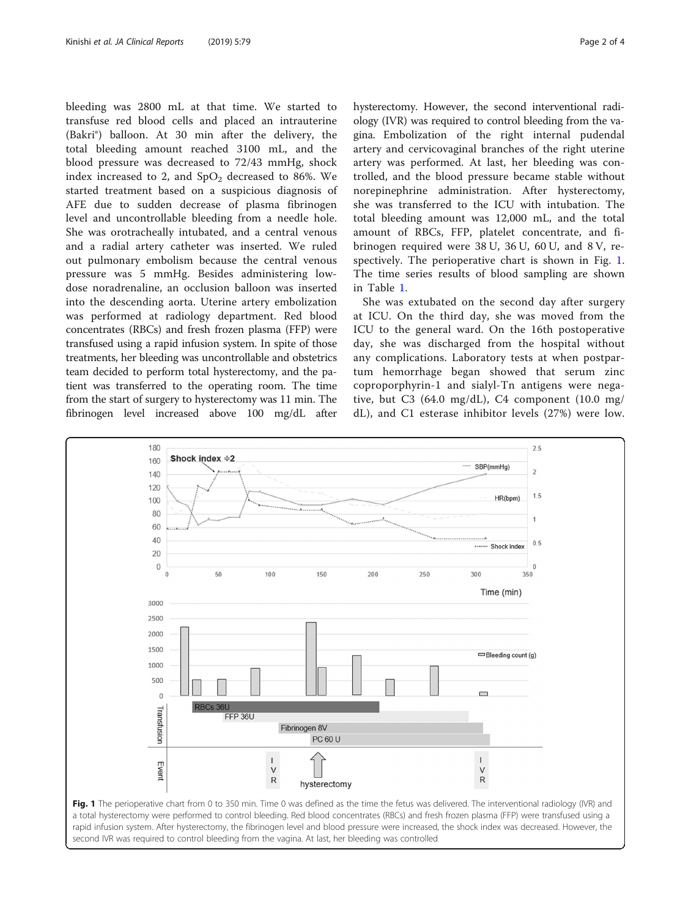bleeding was 2800 mL at that time. We started to transfuse red blood cells and placed an intrauterine (Bakri®) balloon. At 30 min after the delivery, the total bleeding amount reached 3100 mL, and the blood pressure was decreased to 72/43 mmHg, shock index increased to 2, and  $SpO<sub>2</sub>$  decreased to 86%. We started treatment based on a suspicious diagnosis of AFE due to sudden decrease of plasma fibrinogen level and uncontrollable bleeding from a needle hole. She was orotracheally intubated, and a central venous and a radial artery catheter was inserted. We ruled out pulmonary embolism because the central venous pressure was 5 mmHg. Besides administering lowdose noradrenaline, an occlusion balloon was inserted into the descending aorta. Uterine artery embolization was performed at radiology department. Red blood concentrates (RBCs) and fresh frozen plasma (FFP) were transfused using a rapid infusion system. In spite of those treatments, her bleeding was uncontrollable and obstetrics team decided to perform total hysterectomy, and the patient was transferred to the operating room. The time from the start of surgery to hysterectomy was 11 min. The fibrinogen level increased above 100 mg/dL after

hysterectomy. However, the second interventional radiology (IVR) was required to control bleeding from the vagina. Embolization of the right internal pudendal artery and cervicovaginal branches of the right uterine artery was performed. At last, her bleeding was controlled, and the blood pressure became stable without norepinephrine administration. After hysterectomy, she was transferred to the ICU with intubation. The total bleeding amount was 12,000 mL, and the total amount of RBCs, FFP, platelet concentrate, and fibrinogen required were 38 U, 36 U, 60 U, and 8 V, respectively. The perioperative chart is shown in Fig. 1. The time series results of blood sampling are shown in Table [1](#page-2-0).

She was extubated on the second day after surgery at ICU. On the third day, she was moved from the ICU to the general ward. On the 16th postoperative day, she was discharged from the hospital without any complications. Laboratory tests at when postpartum hemorrhage began showed that serum zinc coproporphyrin-1 and sialyl-Tn antigens were negative, but C3  $(64.0 \text{ mg/dL})$ , C4 component  $(10.0 \text{ mg/m})$ dL), and C1 esterase inhibitor levels (27%) were low.

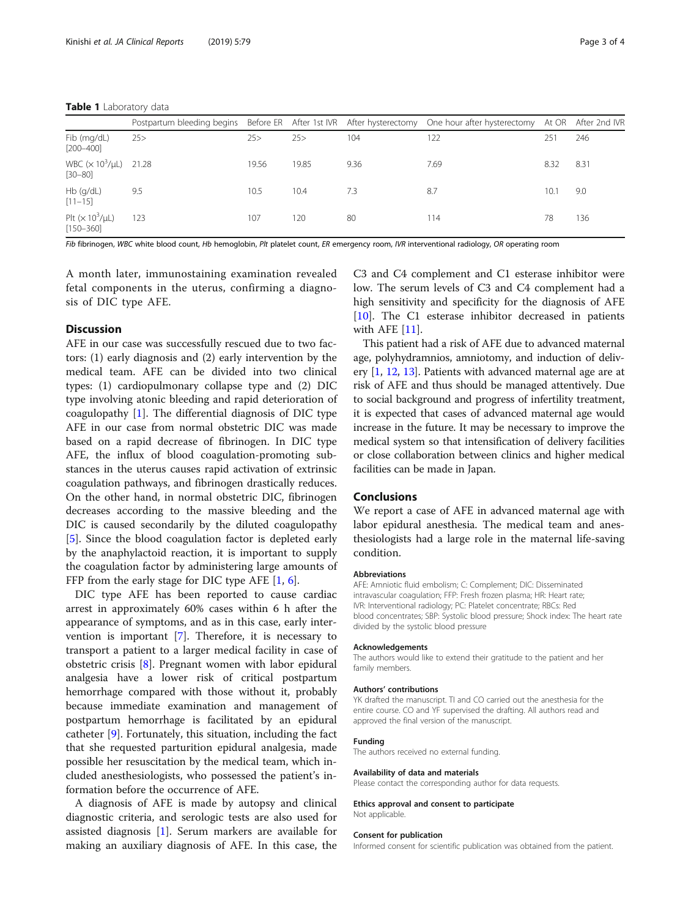#### <span id="page-2-0"></span>Table 1 Laboratory data

|                                            |     |       |       |      | Postpartum bleeding begins Before ER After 1st IVR After hysterectomy One hour after hysterectomy |      | At OR After 2nd IVR |
|--------------------------------------------|-----|-------|-------|------|---------------------------------------------------------------------------------------------------|------|---------------------|
| Fib (mg/dL)<br>$[200 - 400]$               | 25> | 25    | 25>   | 104  | 122                                                                                               | 251  | 246                 |
| WBC $(x 10^3/\mu L)$ 21.28<br>$[30 - 80]$  |     | 19.56 | 19.85 | 9.36 | 7.69                                                                                              | 8.32 | 8.31                |
| Hb (g/dL)<br>$[11 - 15]$                   | 9.5 | 10.5  | 10.4  | 7.3  | 8.7                                                                                               | 10.  | 9.0                 |
| Plt $(\times 10^3/\mu L)$<br>$[150 - 360]$ | 123 | 107   | 120   | 80   | 114                                                                                               | 78   | 136                 |

Fib fibrinogen, WBC white blood count, Hb hemoglobin, Plt platelet count, ER emergency room, IVR interventional radiology, OR operating room

A month later, immunostaining examination revealed fetal components in the uterus, confirming a diagnosis of DIC type AFE.

#### Discussion

AFE in our case was successfully rescued due to two factors: (1) early diagnosis and (2) early intervention by the medical team. AFE can be divided into two clinical types: (1) cardiopulmonary collapse type and (2) DIC type involving atonic bleeding and rapid deterioration of coagulopathy [[1\]](#page-3-0). The differential diagnosis of DIC type AFE in our case from normal obstetric DIC was made based on a rapid decrease of fibrinogen. In DIC type AFE, the influx of blood coagulation-promoting substances in the uterus causes rapid activation of extrinsic coagulation pathways, and fibrinogen drastically reduces. On the other hand, in normal obstetric DIC, fibrinogen decreases according to the massive bleeding and the DIC is caused secondarily by the diluted coagulopathy [[5\]](#page-3-0). Since the blood coagulation factor is depleted early by the anaphylactoid reaction, it is important to supply the coagulation factor by administering large amounts of FFP from the early stage for DIC type AFE  $[1, 6]$  $[1, 6]$  $[1, 6]$  $[1, 6]$ .

DIC type AFE has been reported to cause cardiac arrest in approximately 60% cases within 6 h after the appearance of symptoms, and as in this case, early intervention is important [\[7](#page-3-0)]. Therefore, it is necessary to transport a patient to a larger medical facility in case of obstetric crisis [\[8](#page-3-0)]. Pregnant women with labor epidural analgesia have a lower risk of critical postpartum hemorrhage compared with those without it, probably because immediate examination and management of postpartum hemorrhage is facilitated by an epidural catheter [[9\]](#page-3-0). Fortunately, this situation, including the fact that she requested parturition epidural analgesia, made possible her resuscitation by the medical team, which included anesthesiologists, who possessed the patient's information before the occurrence of AFE.

A diagnosis of AFE is made by autopsy and clinical diagnostic criteria, and serologic tests are also used for assisted diagnosis [[1\]](#page-3-0). Serum markers are available for making an auxiliary diagnosis of AFE. In this case, the

C3 and C4 complement and C1 esterase inhibitor were low. The serum levels of C3 and C4 complement had a high sensitivity and specificity for the diagnosis of AFE [[10\]](#page-3-0). The C1 esterase inhibitor decreased in patients with AFE [\[11](#page-3-0)].

This patient had a risk of AFE due to advanced maternal age, polyhydramnios, amniotomy, and induction of delivery [\[1,](#page-3-0) [12,](#page-3-0) [13](#page-3-0)]. Patients with advanced maternal age are at risk of AFE and thus should be managed attentively. Due to social background and progress of infertility treatment, it is expected that cases of advanced maternal age would increase in the future. It may be necessary to improve the medical system so that intensification of delivery facilities or close collaboration between clinics and higher medical facilities can be made in Japan.

#### Conclusions

We report a case of AFE in advanced maternal age with labor epidural anesthesia. The medical team and anesthesiologists had a large role in the maternal life-saving condition.

#### Abbreviations

AFE: Amniotic fluid embolism; C: Complement; DIC: Disseminated intravascular coagulation; FFP: Fresh frozen plasma; HR: Heart rate; IVR: Interventional radiology; PC: Platelet concentrate; RBCs: Red blood concentrates; SBP: Systolic blood pressure; Shock index: The heart rate divided by the systolic blood pressure

#### Acknowledgements

The authors would like to extend their gratitude to the patient and her family members.

#### Authors' contributions

YK drafted the manuscript. TI and CO carried out the anesthesia for the entire course. CO and YF supervised the drafting. All authors read and approved the final version of the manuscript.

#### Funding

The authors received no external funding.

#### Availability of data and materials

Please contact the corresponding author for data requests.

#### Ethics approval and consent to participate Not applicable.

#### Consent for publication

Informed consent for scientific publication was obtained from the patient.